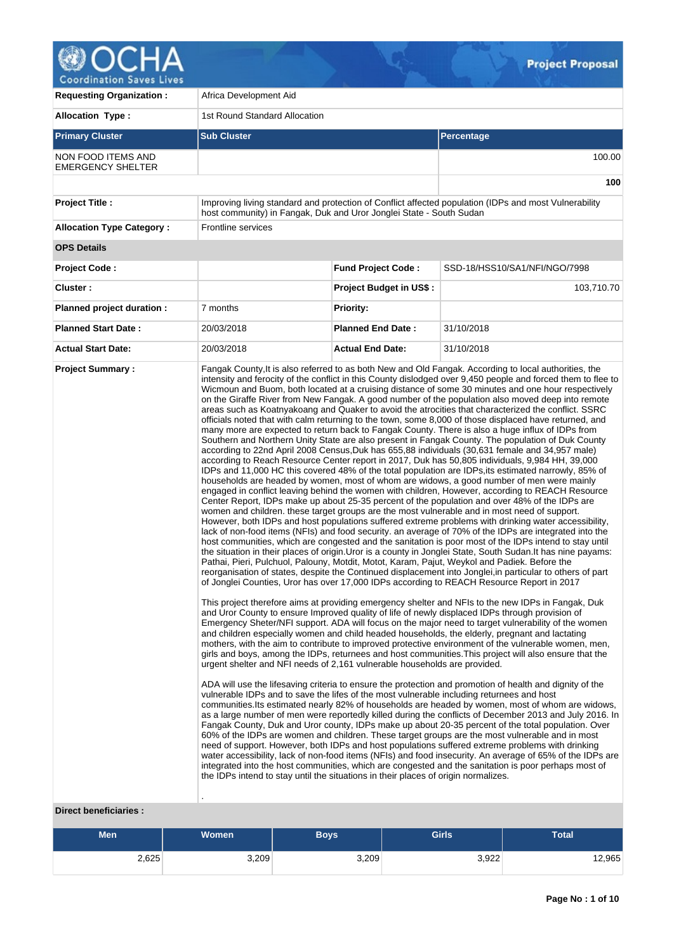

| <b>Requesting Organization:</b>                | Africa Development Aid                                                                                                                                                                                                                                       |                                |                                                                                                                                                                                                                                                                                                                                                                                                                                                                                                                                                                                                                                                                                                                                                                                                                                                                                                                                                                                                                                                                                                                                                                                                                                                                                                                                                                                                                                                                                                                                                                                                                                                                                                                                                                                                                                                                                                                                                                                                                                                                                                                                                                                                                                                                                                                                                                                                                                                                                                                                                                                                                                                                                                                                                                                                                                                                                                                                                                                                                                                                                                                                                                                                                                                                                                                                                                                                                                                                                                                                                                                                                                                                                                                             |  |  |
|------------------------------------------------|--------------------------------------------------------------------------------------------------------------------------------------------------------------------------------------------------------------------------------------------------------------|--------------------------------|-----------------------------------------------------------------------------------------------------------------------------------------------------------------------------------------------------------------------------------------------------------------------------------------------------------------------------------------------------------------------------------------------------------------------------------------------------------------------------------------------------------------------------------------------------------------------------------------------------------------------------------------------------------------------------------------------------------------------------------------------------------------------------------------------------------------------------------------------------------------------------------------------------------------------------------------------------------------------------------------------------------------------------------------------------------------------------------------------------------------------------------------------------------------------------------------------------------------------------------------------------------------------------------------------------------------------------------------------------------------------------------------------------------------------------------------------------------------------------------------------------------------------------------------------------------------------------------------------------------------------------------------------------------------------------------------------------------------------------------------------------------------------------------------------------------------------------------------------------------------------------------------------------------------------------------------------------------------------------------------------------------------------------------------------------------------------------------------------------------------------------------------------------------------------------------------------------------------------------------------------------------------------------------------------------------------------------------------------------------------------------------------------------------------------------------------------------------------------------------------------------------------------------------------------------------------------------------------------------------------------------------------------------------------------------------------------------------------------------------------------------------------------------------------------------------------------------------------------------------------------------------------------------------------------------------------------------------------------------------------------------------------------------------------------------------------------------------------------------------------------------------------------------------------------------------------------------------------------------------------------------------------------------------------------------------------------------------------------------------------------------------------------------------------------------------------------------------------------------------------------------------------------------------------------------------------------------------------------------------------------------------------------------------------------------------------------------------------------------|--|--|
| <b>Allocation Type:</b>                        | 1st Round Standard Allocation                                                                                                                                                                                                                                |                                |                                                                                                                                                                                                                                                                                                                                                                                                                                                                                                                                                                                                                                                                                                                                                                                                                                                                                                                                                                                                                                                                                                                                                                                                                                                                                                                                                                                                                                                                                                                                                                                                                                                                                                                                                                                                                                                                                                                                                                                                                                                                                                                                                                                                                                                                                                                                                                                                                                                                                                                                                                                                                                                                                                                                                                                                                                                                                                                                                                                                                                                                                                                                                                                                                                                                                                                                                                                                                                                                                                                                                                                                                                                                                                                             |  |  |
| <b>Primary Cluster</b>                         | <b>Sub Cluster</b>                                                                                                                                                                                                                                           |                                | Percentage                                                                                                                                                                                                                                                                                                                                                                                                                                                                                                                                                                                                                                                                                                                                                                                                                                                                                                                                                                                                                                                                                                                                                                                                                                                                                                                                                                                                                                                                                                                                                                                                                                                                                                                                                                                                                                                                                                                                                                                                                                                                                                                                                                                                                                                                                                                                                                                                                                                                                                                                                                                                                                                                                                                                                                                                                                                                                                                                                                                                                                                                                                                                                                                                                                                                                                                                                                                                                                                                                                                                                                                                                                                                                                                  |  |  |
| NON FOOD ITEMS AND<br><b>EMERGENCY SHELTER</b> |                                                                                                                                                                                                                                                              |                                |                                                                                                                                                                                                                                                                                                                                                                                                                                                                                                                                                                                                                                                                                                                                                                                                                                                                                                                                                                                                                                                                                                                                                                                                                                                                                                                                                                                                                                                                                                                                                                                                                                                                                                                                                                                                                                                                                                                                                                                                                                                                                                                                                                                                                                                                                                                                                                                                                                                                                                                                                                                                                                                                                                                                                                                                                                                                                                                                                                                                                                                                                                                                                                                                                                                                                                                                                                                                                                                                                                                                                                                                                                                                                                                             |  |  |
|                                                |                                                                                                                                                                                                                                                              |                                | 100                                                                                                                                                                                                                                                                                                                                                                                                                                                                                                                                                                                                                                                                                                                                                                                                                                                                                                                                                                                                                                                                                                                                                                                                                                                                                                                                                                                                                                                                                                                                                                                                                                                                                                                                                                                                                                                                                                                                                                                                                                                                                                                                                                                                                                                                                                                                                                                                                                                                                                                                                                                                                                                                                                                                                                                                                                                                                                                                                                                                                                                                                                                                                                                                                                                                                                                                                                                                                                                                                                                                                                                                                                                                                                                         |  |  |
| <b>Project Title:</b>                          | host community) in Fangak, Duk and Uror Jonglei State - South Sudan                                                                                                                                                                                          |                                | Improving living standard and protection of Conflict affected population (IDPs and most Vulnerability                                                                                                                                                                                                                                                                                                                                                                                                                                                                                                                                                                                                                                                                                                                                                                                                                                                                                                                                                                                                                                                                                                                                                                                                                                                                                                                                                                                                                                                                                                                                                                                                                                                                                                                                                                                                                                                                                                                                                                                                                                                                                                                                                                                                                                                                                                                                                                                                                                                                                                                                                                                                                                                                                                                                                                                                                                                                                                                                                                                                                                                                                                                                                                                                                                                                                                                                                                                                                                                                                                                                                                                                                       |  |  |
| <b>Allocation Type Category:</b>               | <b>Frontline services</b>                                                                                                                                                                                                                                    |                                |                                                                                                                                                                                                                                                                                                                                                                                                                                                                                                                                                                                                                                                                                                                                                                                                                                                                                                                                                                                                                                                                                                                                                                                                                                                                                                                                                                                                                                                                                                                                                                                                                                                                                                                                                                                                                                                                                                                                                                                                                                                                                                                                                                                                                                                                                                                                                                                                                                                                                                                                                                                                                                                                                                                                                                                                                                                                                                                                                                                                                                                                                                                                                                                                                                                                                                                                                                                                                                                                                                                                                                                                                                                                                                                             |  |  |
| <b>OPS Details</b>                             |                                                                                                                                                                                                                                                              |                                |                                                                                                                                                                                                                                                                                                                                                                                                                                                                                                                                                                                                                                                                                                                                                                                                                                                                                                                                                                                                                                                                                                                                                                                                                                                                                                                                                                                                                                                                                                                                                                                                                                                                                                                                                                                                                                                                                                                                                                                                                                                                                                                                                                                                                                                                                                                                                                                                                                                                                                                                                                                                                                                                                                                                                                                                                                                                                                                                                                                                                                                                                                                                                                                                                                                                                                                                                                                                                                                                                                                                                                                                                                                                                                                             |  |  |
| <b>Project Code:</b>                           |                                                                                                                                                                                                                                                              | <b>Fund Project Code:</b>      | SSD-18/HSS10/SA1/NFI/NGO/7998                                                                                                                                                                                                                                                                                                                                                                                                                                                                                                                                                                                                                                                                                                                                                                                                                                                                                                                                                                                                                                                                                                                                                                                                                                                                                                                                                                                                                                                                                                                                                                                                                                                                                                                                                                                                                                                                                                                                                                                                                                                                                                                                                                                                                                                                                                                                                                                                                                                                                                                                                                                                                                                                                                                                                                                                                                                                                                                                                                                                                                                                                                                                                                                                                                                                                                                                                                                                                                                                                                                                                                                                                                                                                               |  |  |
| Cluster:                                       |                                                                                                                                                                                                                                                              | <b>Project Budget in US\$:</b> | 103,710.70                                                                                                                                                                                                                                                                                                                                                                                                                                                                                                                                                                                                                                                                                                                                                                                                                                                                                                                                                                                                                                                                                                                                                                                                                                                                                                                                                                                                                                                                                                                                                                                                                                                                                                                                                                                                                                                                                                                                                                                                                                                                                                                                                                                                                                                                                                                                                                                                                                                                                                                                                                                                                                                                                                                                                                                                                                                                                                                                                                                                                                                                                                                                                                                                                                                                                                                                                                                                                                                                                                                                                                                                                                                                                                                  |  |  |
| Planned project duration :                     | 7 months                                                                                                                                                                                                                                                     | <b>Priority:</b>               |                                                                                                                                                                                                                                                                                                                                                                                                                                                                                                                                                                                                                                                                                                                                                                                                                                                                                                                                                                                                                                                                                                                                                                                                                                                                                                                                                                                                                                                                                                                                                                                                                                                                                                                                                                                                                                                                                                                                                                                                                                                                                                                                                                                                                                                                                                                                                                                                                                                                                                                                                                                                                                                                                                                                                                                                                                                                                                                                                                                                                                                                                                                                                                                                                                                                                                                                                                                                                                                                                                                                                                                                                                                                                                                             |  |  |
| <b>Planned Start Date:</b>                     | 20/03/2018                                                                                                                                                                                                                                                   | <b>Planned End Date:</b>       | 31/10/2018                                                                                                                                                                                                                                                                                                                                                                                                                                                                                                                                                                                                                                                                                                                                                                                                                                                                                                                                                                                                                                                                                                                                                                                                                                                                                                                                                                                                                                                                                                                                                                                                                                                                                                                                                                                                                                                                                                                                                                                                                                                                                                                                                                                                                                                                                                                                                                                                                                                                                                                                                                                                                                                                                                                                                                                                                                                                                                                                                                                                                                                                                                                                                                                                                                                                                                                                                                                                                                                                                                                                                                                                                                                                                                                  |  |  |
| <b>Actual Start Date:</b>                      | 20/03/2018                                                                                                                                                                                                                                                   | <b>Actual End Date:</b>        | 31/10/2018                                                                                                                                                                                                                                                                                                                                                                                                                                                                                                                                                                                                                                                                                                                                                                                                                                                                                                                                                                                                                                                                                                                                                                                                                                                                                                                                                                                                                                                                                                                                                                                                                                                                                                                                                                                                                                                                                                                                                                                                                                                                                                                                                                                                                                                                                                                                                                                                                                                                                                                                                                                                                                                                                                                                                                                                                                                                                                                                                                                                                                                                                                                                                                                                                                                                                                                                                                                                                                                                                                                                                                                                                                                                                                                  |  |  |
|                                                | urgent shelter and NFI needs of 2,161 vulnerable households are provided.<br>vulnerable IDPs and to save the lifes of the most vulnerable including returnees and host<br>the IDPs intend to stay until the situations in their places of origin normalizes. |                                | intensity and ferocity of the conflict in this County dislodged over 9,450 people and forced them to flee to<br>Wicmoun and Buom, both located at a cruising distance of some 30 minutes and one hour respectively<br>on the Giraffe River from New Fangak. A good number of the population also moved deep into remote<br>areas such as Koatnyakoang and Quaker to avoid the atrocities that characterized the conflict. SSRC<br>officials noted that with calm returning to the town, some 8,000 of those displaced have returned, and<br>many more are expected to return back to Fangak County. There is also a huge influx of IDPs from<br>Southern and Northern Unity State are also present in Fangak County. The population of Duk County<br>according to 22nd April 2008 Census, Duk has 655,88 individuals (30,631 female and 34,957 male)<br>according to Reach Resource Center report in 2017, Duk has 50,805 individuals, 9,984 HH, 39,000<br>IDPs and 11,000 HC this covered 48% of the total population are IDPs, its estimated narrowly, 85% of<br>households are headed by women, most of whom are widows, a good number of men were mainly<br>engaged in conflict leaving behind the women with children, However, according to REACH Resource<br>Center Report, IDPs make up about 25-35 percent of the population and over 48% of the IDPs are<br>women and children. these target groups are the most vulnerable and in most need of support.<br>However, both IDPs and host populations suffered extreme problems with drinking water accessibility,<br>lack of non-food items (NFIs) and food security. an average of 70% of the IDPs are integrated into the<br>host communities, which are congested and the sanitation is poor most of the IDPs intend to stay until<br>the situation in their places of origin. Uror is a county in Jonglei State, South Sudan. It has nine payams:<br>Pathai, Pieri, Pulchuol, Palouny, Motdit, Motot, Karam, Pajut, Weykol and Padiek. Before the<br>reorganisation of states, despite the Continued displacement into Jonglei, in particular to others of part<br>of Jonglei Counties, Uror has over 17,000 IDPs according to REACH Resource Report in 2017<br>This project therefore aims at providing emergency shelter and NFIs to the new IDPs in Fangak, Duk<br>and Uror County to ensure Improved quality of life of newly displaced IDPs through provision of<br>Emergency Sheter/NFI support. ADA will focus on the major need to target vulnerability of the women<br>and children especially women and child headed households, the elderly, pregnant and lactating<br>mothers, with the aim to contribute to improved protective environment of the vulnerable women, men,<br>girls and boys, among the IDPs, returnees and host communities. This project will also ensure that the<br>ADA will use the lifesaving criteria to ensure the protection and promotion of health and dignity of the<br>communities. Its estimated nearly 82% of households are headed by women, most of whom are widows,<br>as a large number of men were reportedly killed during the conflicts of December 2013 and July 2016. In<br>Fangak County, Duk and Uror county, IDPs make up about 20-35 percent of the total population. Over<br>60% of the IDPs are women and children. These target groups are the most vulnerable and in most<br>need of support. However, both IDPs and host populations suffered extreme problems with drinking<br>water accessibility, lack of non-food items (NFIs) and food insecurity. An average of 65% of the IDPs are<br>integrated into the host communities, which are congested and the sanitation is poor perhaps most of |  |  |

# **Direct beneficiaries :**

| <b>Men</b> | <b>Women</b> | <b>Boys</b> | <b>Girls</b> | <b>Total</b> |  |  |
|------------|--------------|-------------|--------------|--------------|--|--|
| 2,625      | 3,209        | 3,209       | 3,922        | 12,965       |  |  |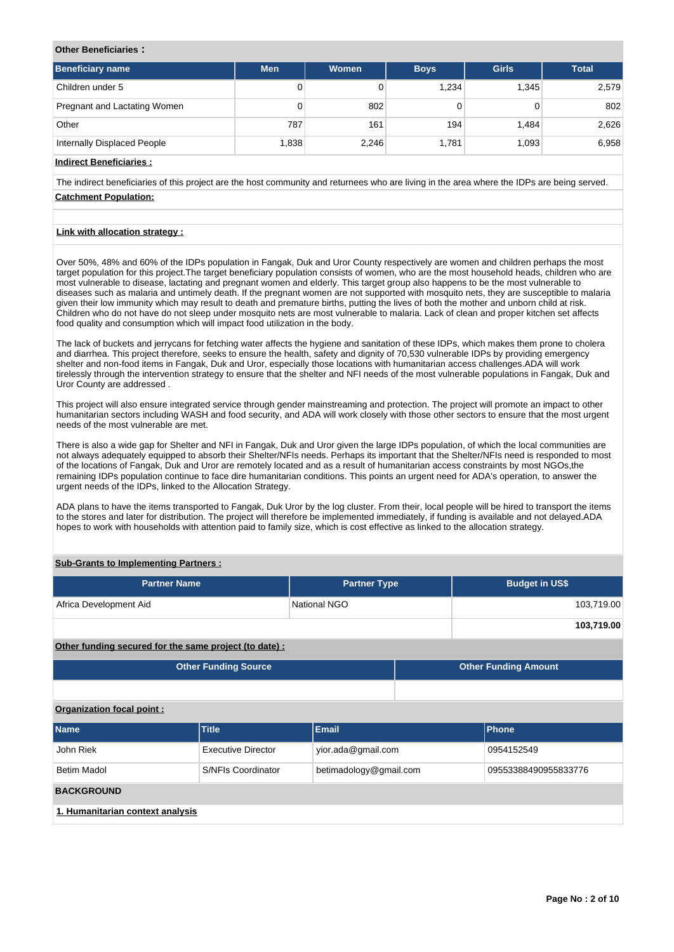## **Other Beneficiaries :**

| Beneficiary name             | <b>Men</b> | <b>Women</b> | <b>Boys</b> | <b>Girls</b> | <b>Total</b> |
|------------------------------|------------|--------------|-------------|--------------|--------------|
| Children under 5             | 0          |              | 1,234       | 1,345        | 2,579        |
| Pregnant and Lactating Women | 0          | 802          |             |              | 802          |
| Other                        | 787        | 161          | 194         | 1,484        | 2,626        |
| Internally Displaced People  | 1,838      | 2,246        | 1.781       | 1,093        | 6,958        |

**Indirect Beneficiaries :**

The indirect beneficiaries of this project are the host community and returnees who are living in the area where the IDPs are being served. **Catchment Population:**

# **Link with allocation strategy :**

Over 50%, 48% and 60% of the IDPs population in Fangak, Duk and Uror County respectively are women and children perhaps the most target population for this project.The target beneficiary population consists of women, who are the most household heads, children who are most vulnerable to disease, lactating and pregnant women and elderly. This target group also happens to be the most vulnerable to diseases such as malaria and untimely death. If the pregnant women are not supported with mosquito nets, they are susceptible to malaria given their low immunity which may result to death and premature births, putting the lives of both the mother and unborn child at risk. Children who do not have do not sleep under mosquito nets are most vulnerable to malaria. Lack of clean and proper kitchen set affects food quality and consumption which will impact food utilization in the body.

The lack of buckets and jerrycans for fetching water affects the hygiene and sanitation of these IDPs, which makes them prone to cholera and diarrhea. This project therefore, seeks to ensure the health, safety and dignity of 70,530 vulnerable IDPs by providing emergency shelter and non-food items in Fangak, Duk and Uror, especially those locations with humanitarian access challenges.ADA will work tirelessly through the intervention strategy to ensure that the shelter and NFI needs of the most vulnerable populations in Fangak, Duk and Uror County are addressed .

This project will also ensure integrated service through gender mainstreaming and protection. The project will promote an impact to other humanitarian sectors including WASH and food security, and ADA will work closely with those other sectors to ensure that the most urgent needs of the most vulnerable are met.

There is also a wide gap for Shelter and NFI in Fangak, Duk and Uror given the large IDPs population, of which the local communities are not always adequately equipped to absorb their Shelter/NFIs needs. Perhaps its important that the Shelter/NFIs need is responded to most of the locations of Fangak, Duk and Uror are remotely located and as a result of humanitarian access constraints by most NGOs,the remaining IDPs population continue to face dire humanitarian conditions. This points an urgent need for ADA's operation, to answer the urgent needs of the IDPs, linked to the Allocation Strategy.

ADA plans to have the items transported to Fangak, Duk Uror by the log cluster. From their, local people will be hired to transport the items to the stores and later for distribution. The project will therefore be implemented immediately, if funding is available and not delayed.ADA hopes to work with households with attention paid to family size, which is cost effective as linked to the allocation strategy.

## **Sub-Grants to Implementing Partners :**

| <b>Partner Name</b>    | <b>Partner Type</b> | <b>Budget in US\$</b> |
|------------------------|---------------------|-----------------------|
| Africa Development Aid | National NGO        | 103,719.00            |
|                        |                     | 103,719.00            |

#### **Other funding secured for the same project (to date) :**

| <b>Other Funding Source</b> | <b>Other Funding Amount</b> |
|-----------------------------|-----------------------------|
|                             |                             |

#### **Organization focal point :**

| <b>Name</b>                      | <b>Title</b>                                 | <b>Email</b>       | <b>Phone</b> |  |  |  |  |  |  |  |
|----------------------------------|----------------------------------------------|--------------------|--------------|--|--|--|--|--|--|--|
| John Riek                        | Executive Director                           | yior.ada@gmail.com | 0954152549   |  |  |  |  |  |  |  |
| <b>Betim Madol</b>               | betimadology@gmail.com<br>S/NFIs Coordinator |                    |              |  |  |  |  |  |  |  |
| <b>BACKGROUND</b>                |                                              |                    |              |  |  |  |  |  |  |  |
| 1. Humanitarian context analysis |                                              |                    |              |  |  |  |  |  |  |  |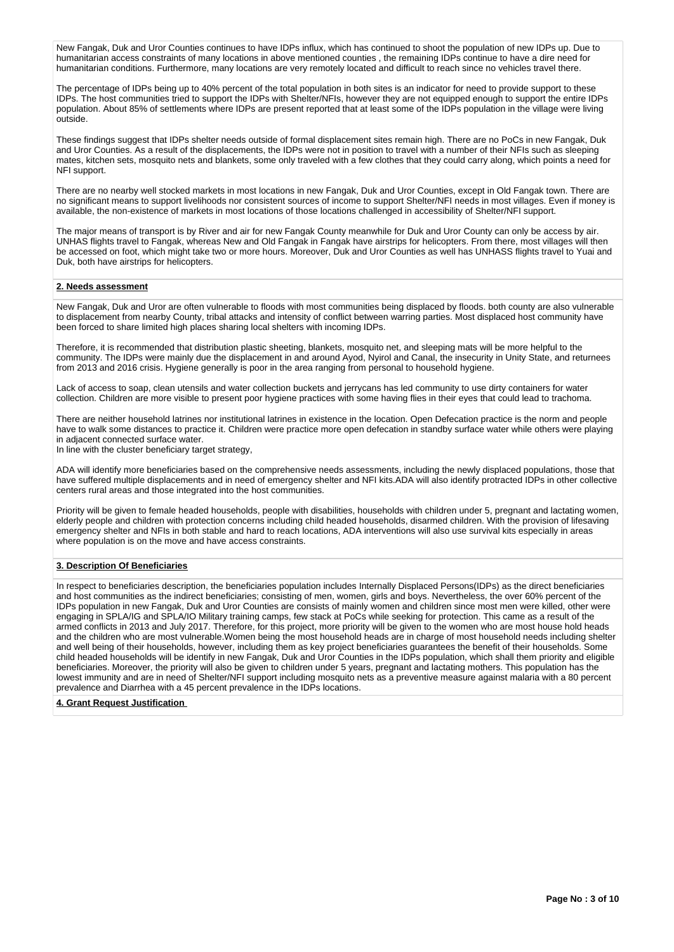New Fangak, Duk and Uror Counties continues to have IDPs influx, which has continued to shoot the population of new IDPs up. Due to humanitarian access constraints of many locations in above mentioned counties , the remaining IDPs continue to have a dire need for humanitarian conditions. Furthermore, many locations are very remotely located and difficult to reach since no vehicles travel there.

The percentage of IDPs being up to 40% percent of the total population in both sites is an indicator for need to provide support to these IDPs. The host communities tried to support the IDPs with Shelter/NFIs, however they are not equipped enough to support the entire IDPs population. About 85% of settlements where IDPs are present reported that at least some of the IDPs population in the village were living outside.

These findings suggest that IDPs shelter needs outside of formal displacement sites remain high. There are no PoCs in new Fangak, Duk and Uror Counties. As a result of the displacements, the IDPs were not in position to travel with a number of their NFIs such as sleeping mates, kitchen sets, mosquito nets and blankets, some only traveled with a few clothes that they could carry along, which points a need for NFI support.

There are no nearby well stocked markets in most locations in new Fangak, Duk and Uror Counties, except in Old Fangak town. There are no significant means to support livelihoods nor consistent sources of income to support Shelter/NFI needs in most villages. Even if money is available, the non-existence of markets in most locations of those locations challenged in accessibility of Shelter/NFI support.

The major means of transport is by River and air for new Fangak County meanwhile for Duk and Uror County can only be access by air. UNHAS flights travel to Fangak, whereas New and Old Fangak in Fangak have airstrips for helicopters. From there, most villages will then be accessed on foot, which might take two or more hours. Moreover, Duk and Uror Counties as well has UNHASS flights travel to Yuai and Duk, both have airstrips for helicopters.

## **2. Needs assessment**

New Fangak, Duk and Uror are often vulnerable to floods with most communities being displaced by floods. both county are also vulnerable to displacement from nearby County, tribal attacks and intensity of conflict between warring parties. Most displaced host community have been forced to share limited high places sharing local shelters with incoming IDPs.

Therefore, it is recommended that distribution plastic sheeting, blankets, mosquito net, and sleeping mats will be more helpful to the community. The IDPs were mainly due the displacement in and around Ayod, Nyirol and Canal, the insecurity in Unity State, and returnees from 2013 and 2016 crisis. Hygiene generally is poor in the area ranging from personal to household hygiene.

Lack of access to soap, clean utensils and water collection buckets and jerrycans has led community to use dirty containers for water collection. Children are more visible to present poor hygiene practices with some having flies in their eyes that could lead to trachoma.

There are neither household latrines nor institutional latrines in existence in the location. Open Defecation practice is the norm and people have to walk some distances to practice it. Children were practice more open defecation in standby surface water while others were playing in adjacent connected surface water.

In line with the cluster beneficiary target strategy,

ADA will identify more beneficiaries based on the comprehensive needs assessments, including the newly displaced populations, those that have suffered multiple displacements and in need of emergency shelter and NFI kits.ADA will also identify protracted IDPs in other collective centers rural areas and those integrated into the host communities.

Priority will be given to female headed households, people with disabilities, households with children under 5, pregnant and lactating women, elderly people and children with protection concerns including child headed households, disarmed children. With the provision of lifesaving emergency shelter and NFIs in both stable and hard to reach locations, ADA interventions will also use survival kits especially in areas where population is on the move and have access constraints.

## **3. Description Of Beneficiaries**

In respect to beneficiaries description, the beneficiaries population includes Internally Displaced Persons(IDPs) as the direct beneficiaries and host communities as the indirect beneficiaries; consisting of men, women, girls and boys. Nevertheless, the over 60% percent of the IDPs population in new Fangak, Duk and Uror Counties are consists of mainly women and children since most men were killed, other were engaging in SPLA/IG and SPLA/IO Military training camps, few stack at PoCs while seeking for protection. This came as a result of the armed conflicts in 2013 and July 2017. Therefore, for this project, more priority will be given to the women who are most house hold heads and the children who are most vulnerable.Women being the most household heads are in charge of most household needs including shelter and well being of their households, however, including them as key project beneficiaries guarantees the benefit of their households. Some child headed households will be identify in new Fangak, Duk and Uror Counties in the IDPs population, which shall them priority and eligible beneficiaries. Moreover, the priority will also be given to children under 5 years, pregnant and lactating mothers. This population has the lowest immunity and are in need of Shelter/NFI support including mosquito nets as a preventive measure against malaria with a 80 percent prevalence and Diarrhea with a 45 percent prevalence in the IDPs locations.

#### **4. Grant Request Justification**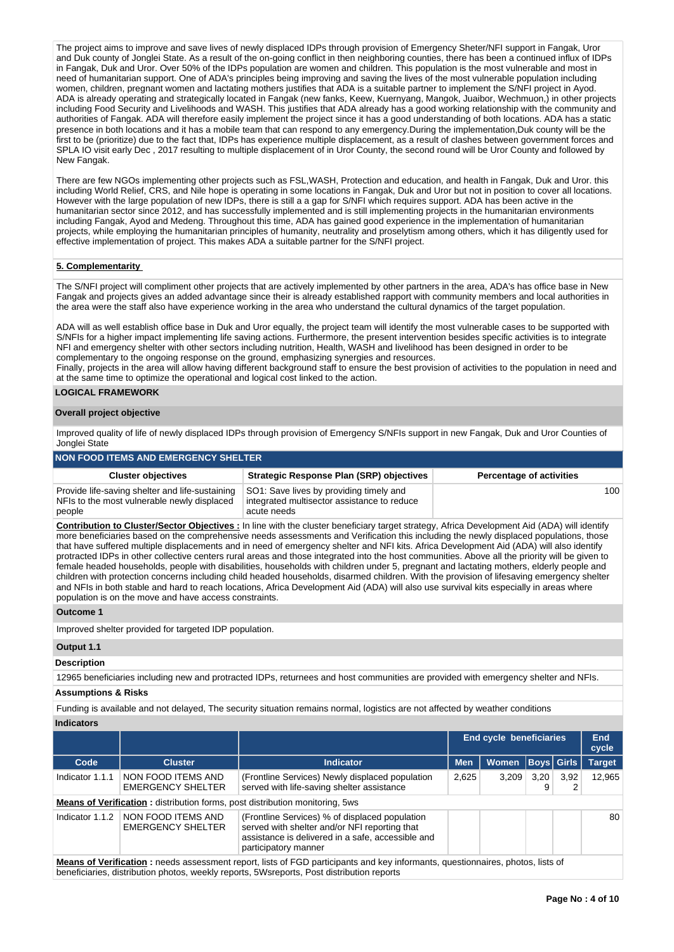The project aims to improve and save lives of newly displaced IDPs through provision of Emergency Sheter/NFI support in Fangak, Uror and Duk county of Jonglei State. As a result of the on-going conflict in then neighboring counties, there has been a continued influx of IDPs in Fangak, Duk and Uror. Over 50% of the IDPs population are women and children. This population is the most vulnerable and most in need of humanitarian support. One of ADA's principles being improving and saving the lives of the most vulnerable population including women, children, pregnant women and lactating mothers justifies that ADA is a suitable partner to implement the S/NFI project in Ayod. ADA is already operating and strategically located in Fangak (new fanks, Keew, Kuernyang, Mangok, Juaibor, Wechmuon,) in other projects including Food Security and Livelihoods and WASH. This justifies that ADA already has a good working relationship with the community and authorities of Fangak. ADA will therefore easily implement the project since it has a good understanding of both locations. ADA has a static presence in both locations and it has a mobile team that can respond to any emergency.During the implementation,Duk county will be the first to be (prioritize) due to the fact that, IDPs has experience multiple displacement, as a result of clashes between government forces and SPLA IO visit early Dec , 2017 resulting to multiple displacement of in Uror County, the second round will be Uror County and followed by New Fangak.

There are few NGOs implementing other projects such as FSL,WASH, Protection and education, and health in Fangak, Duk and Uror. this including World Relief, CRS, and Nile hope is operating in some locations in Fangak, Duk and Uror but not in position to cover all locations. However with the large population of new IDPs, there is still a a gap for S/NFI which requires support. ADA has been active in the humanitarian sector since 2012, and has successfully implemented and is still implementing projects in the humanitarian environments including Fangak, Ayod and Medeng. Throughout this time, ADA has gained good experience in the implementation of humanitarian projects, while employing the humanitarian principles of humanity, neutrality and proselytism among others, which it has diligently used for effective implementation of project. This makes ADA a suitable partner for the S/NFI project.

## **5. Complementarity**

The S/NFI project will compliment other projects that are actively implemented by other partners in the area, ADA's has office base in New Fangak and projects gives an added advantage since their is already established rapport with community members and local authorities in the area were the staff also have experience working in the area who understand the cultural dynamics of the target population.

ADA will as well establish office base in Duk and Uror equally, the project team will identify the most vulnerable cases to be supported with S/NFIs for a higher impact implementing life saving actions. Furthermore, the present intervention besides specific activities is to integrate NFI and emergency shelter with other sectors including nutrition, Health, WASH and livelihood has been designed in order to be complementary to the ongoing response on the ground, emphasizing synergies and resources.

Finally, projects in the area will allow having different background staff to ensure the best provision of activities to the population in need and at the same time to optimize the operational and logical cost linked to the action.

## **LOGICAL FRAMEWORK**

## **Overall project objective**

Improved quality of life of newly displaced IDPs through provision of Emergency S/NFIs support in new Fangak, Duk and Uror Counties of Jonglei State

| NON FOOD ITEMS AND EMERGENCY SHELTER                                                                     |                                                                                                       |                                 |  |  |  |  |  |  |
|----------------------------------------------------------------------------------------------------------|-------------------------------------------------------------------------------------------------------|---------------------------------|--|--|--|--|--|--|
| <b>Cluster objectives</b>                                                                                | <b>Strategic Response Plan (SRP) objectives</b>                                                       | <b>Percentage of activities</b> |  |  |  |  |  |  |
| Provide life-saving shelter and life-sustaining<br>NFIs to the most vulnerable newly displaced<br>people | SO1: Save lives by providing timely and<br>integrated multisector assistance to reduce<br>acute needs | 100                             |  |  |  |  |  |  |

**Contribution to Cluster/Sector Objectives :** In line with the cluster beneficiary target strategy, Africa Development Aid (ADA) will identify more beneficiaries based on the comprehensive needs assessments and Verification this including the newly displaced populations, those that have suffered multiple displacements and in need of emergency shelter and NFI kits. Africa Development Aid (ADA) will also identify protracted IDPs in other collective centers rural areas and those integrated into the host communities. Above all the priority will be given to female headed households, people with disabilities, households with children under 5, pregnant and lactating mothers, elderly people and children with protection concerns including child headed households, disarmed children. With the provision of lifesaving emergency shelter and NFIs in both stable and hard to reach locations, Africa Development Aid (ADA) will also use survival kits especially in areas where population is on the move and have access constraints.

#### **Outcome 1**

Improved shelter provided for targeted IDP population.

### **Output 1.1**

## **Description**

12965 beneficiaries including new and protracted IDPs, returnees and host communities are provided with emergency shelter and NFIs.

#### **Assumptions & Risks**

Funding is available and not delayed, The security situation remains normal, logistics are not affected by weather conditions

#### **Indicators**

|                                                                                                                                                                                                                                     |                                                |                                                                                                                                                                              |            |              |           | End cycle beneficiaries |               |  |  |  |
|-------------------------------------------------------------------------------------------------------------------------------------------------------------------------------------------------------------------------------------|------------------------------------------------|------------------------------------------------------------------------------------------------------------------------------------------------------------------------------|------------|--------------|-----------|-------------------------|---------------|--|--|--|
| Code                                                                                                                                                                                                                                | <b>Cluster</b>                                 | Indicator                                                                                                                                                                    | <b>Men</b> | <b>Women</b> |           | <b>Boys</b> Girls       | <b>Target</b> |  |  |  |
| Indicator 1.1.1                                                                                                                                                                                                                     | NON FOOD ITEMS AND<br><b>EMERGENCY SHELTER</b> | (Frontline Services) Newly displaced population<br>served with life-saving shelter assistance                                                                                | 2,625      | 3.209        | 3.20<br>9 | 3.92<br>2               | 12.965        |  |  |  |
|                                                                                                                                                                                                                                     |                                                | <b>Means of Verification:</b> distribution forms, post distribution monitoring, 5ws                                                                                          |            |              |           |                         |               |  |  |  |
| Indicator 1.1.2                                                                                                                                                                                                                     | NON FOOD ITEMS AND<br><b>EMERGENCY SHELTER</b> | (Frontline Services) % of displaced population<br>served with shelter and/or NFI reporting that<br>assistance is delivered in a safe, accessible and<br>participatory manner |            |              |           |                         | 80            |  |  |  |
| <b>Means of Verification</b> : needs assessment report, lists of FGD participants and key informants, questionnaires, photos, lists of<br>beneficiaries, distribution photos, weekly reports, 5Wsreports, Post distribution reports |                                                |                                                                                                                                                                              |            |              |           |                         |               |  |  |  |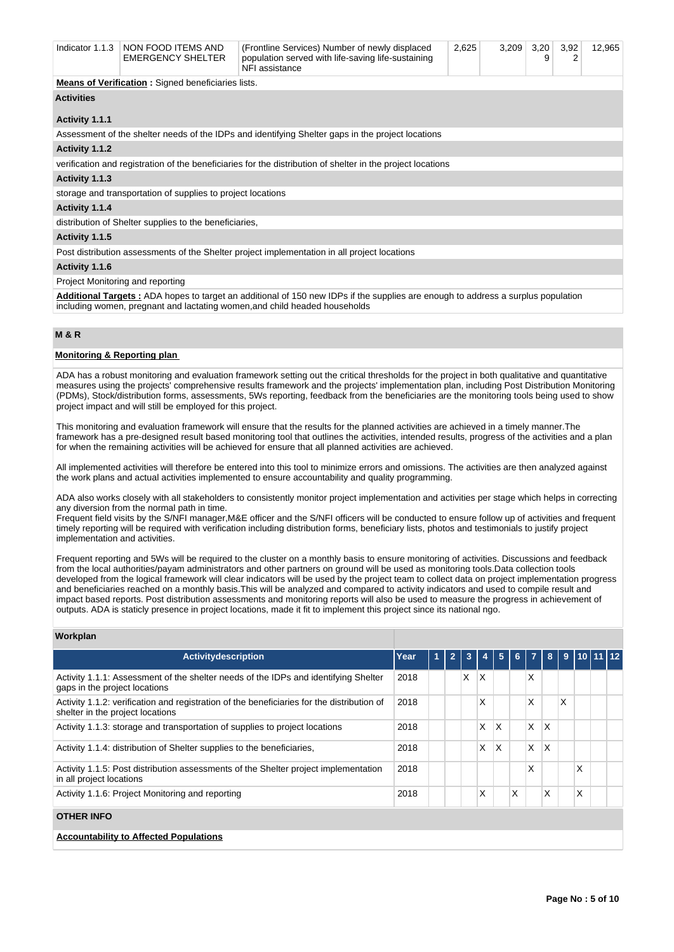| Indicator 1.1.3   | NON FOOD ITEMS AND<br><b>EMERGENCY SHELTER</b>                                               | (Frontline Services) Number of newly displaced<br>population served with life-saving life-sustaining<br>NFI assistance | 2,625 | 3,209 | 3,20<br>9 | 3,92<br>2 | 12,965 |  |
|-------------------|----------------------------------------------------------------------------------------------|------------------------------------------------------------------------------------------------------------------------|-------|-------|-----------|-----------|--------|--|
|                   | <b>Means of Verification:</b> Signed beneficiaries lists.                                    |                                                                                                                        |       |       |           |           |        |  |
| <b>Activities</b> |                                                                                              |                                                                                                                        |       |       |           |           |        |  |
|                   |                                                                                              |                                                                                                                        |       |       |           |           |        |  |
| Activity 1.1.1    |                                                                                              |                                                                                                                        |       |       |           |           |        |  |
|                   |                                                                                              | Assessment of the shelter needs of the IDPs and identifying Shelter gaps in the project locations                      |       |       |           |           |        |  |
| Activity 1.1.2    |                                                                                              |                                                                                                                        |       |       |           |           |        |  |
|                   |                                                                                              | verification and registration of the beneficiaries for the distribution of shelter in the project locations            |       |       |           |           |        |  |
| Activity 1.1.3    |                                                                                              |                                                                                                                        |       |       |           |           |        |  |
|                   | storage and transportation of supplies to project locations                                  |                                                                                                                        |       |       |           |           |        |  |
| Activity 1.1.4    |                                                                                              |                                                                                                                        |       |       |           |           |        |  |
|                   | distribution of Shelter supplies to the beneficiaries,                                       |                                                                                                                        |       |       |           |           |        |  |
| Activity 1.1.5    |                                                                                              |                                                                                                                        |       |       |           |           |        |  |
|                   | Post distribution assessments of the Shelter project implementation in all project locations |                                                                                                                        |       |       |           |           |        |  |
| Activity 1.1.6    |                                                                                              |                                                                                                                        |       |       |           |           |        |  |

#### Project Monitoring and reporting

**Additional Targets :** ADA hopes to target an additional of 150 new IDPs if the supplies are enough to address a surplus population including women, pregnant and lactating women,and child headed households

## **M & R**

## **Monitoring & Reporting plan**

ADA has a robust monitoring and evaluation framework setting out the critical thresholds for the project in both qualitative and quantitative measures using the projects' comprehensive results framework and the projects' implementation plan, including Post Distribution Monitoring (PDMs), Stock/distribution forms, assessments, 5Ws reporting, feedback from the beneficiaries are the monitoring tools being used to show project impact and will still be employed for this project.

This monitoring and evaluation framework will ensure that the results for the planned activities are achieved in a timely manner.The framework has a pre-designed result based monitoring tool that outlines the activities, intended results, progress of the activities and a plan for when the remaining activities will be achieved for ensure that all planned activities are achieved.

All implemented activities will therefore be entered into this tool to minimize errors and omissions. The activities are then analyzed against the work plans and actual activities implemented to ensure accountability and quality programming.

ADA also works closely with all stakeholders to consistently monitor project implementation and activities per stage which helps in correcting any diversion from the normal path in time.

Frequent field visits by the S/NFI manager,M&E officer and the S/NFI officers will be conducted to ensure follow up of activities and frequent timely reporting will be required with verification including distribution forms, beneficiary lists, photos and testimonials to justify project implementation and activities.

Frequent reporting and 5Ws will be required to the cluster on a monthly basis to ensure monitoring of activities. Discussions and feedback from the local authorities/payam administrators and other partners on ground will be used as monitoring tools.Data collection tools developed from the logical framework will clear indicators will be used by the project team to collect data on project implementation progress and beneficiaries reached on a monthly basis.This will be analyzed and compared to activity indicators and used to compile result and impact based reports. Post distribution assessments and monitoring reports will also be used to measure the progress in achievement of outputs. ADA is staticly presence in project locations, made it fit to implement this project since its national ngo.

## **Workplan**

| Activitydescription                                                                                                            | Year | 1 | $\overline{2}$ | 3 | 4  | 5 | 6 <sup>1</sup> | $\overline{7}$ | 8        | 9 | $110$ 11 12 |  |
|--------------------------------------------------------------------------------------------------------------------------------|------|---|----------------|---|----|---|----------------|----------------|----------|---|-------------|--|
| Activity 1.1.1: Assessment of the shelter needs of the IDPs and identifying Shelter<br>gaps in the project locations           | 2018 |   |                | X | ΙX |   |                | X              |          |   |             |  |
| Activity 1.1.2: verification and registration of the beneficiaries for the distribution of<br>shelter in the project locations | 2018 |   |                |   | x  |   |                | X              |          | X |             |  |
| Activity 1.1.3: storage and transportation of supplies to project locations                                                    | 2018 |   |                |   | X  | X |                | X              | X        |   |             |  |
| Activity 1.1.4: distribution of Shelter supplies to the beneficiaries,                                                         | 2018 |   |                |   | X  | X |                | X              | X        |   |             |  |
| Activity 1.1.5: Post distribution assessments of the Shelter project implementation<br>in all project locations                | 2018 |   |                |   |    |   |                | X              |          |   | X           |  |
| Activity 1.1.6: Project Monitoring and reporting                                                                               | 2018 |   |                |   | x  |   | X              |                | $\times$ |   | X           |  |
| <b>OTHER INFO</b>                                                                                                              |      |   |                |   |    |   |                |                |          |   |             |  |
| <b>Accountability to Affected Populations</b>                                                                                  |      |   |                |   |    |   |                |                |          |   |             |  |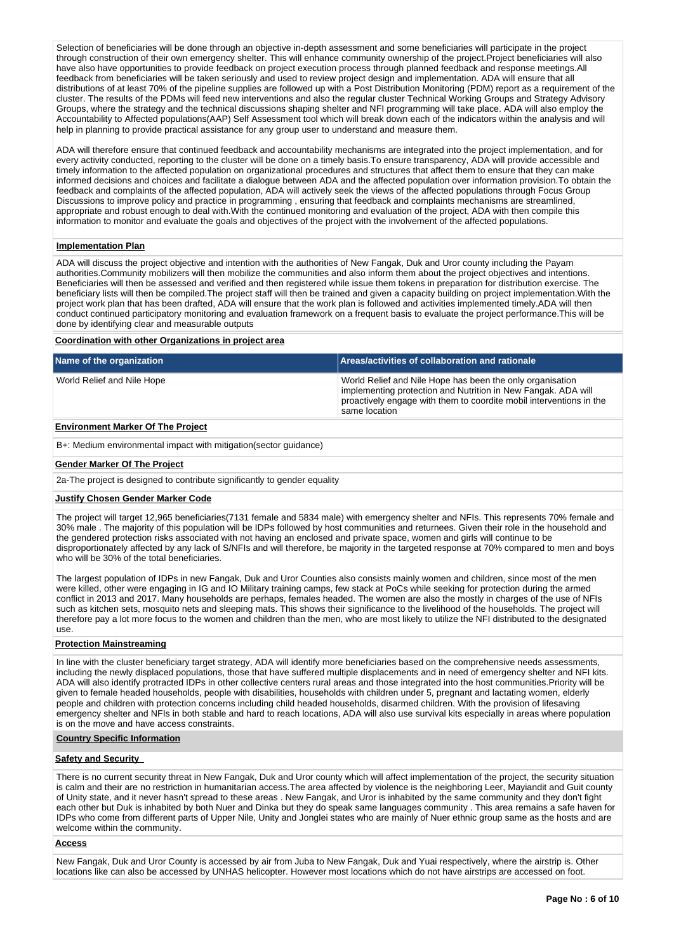Selection of beneficiaries will be done through an objective in-depth assessment and some beneficiaries will participate in the project through construction of their own emergency shelter. This will enhance community ownership of the project.Project beneficiaries will also have also have opportunities to provide feedback on project execution process through planned feedback and response meetings.All feedback from beneficiaries will be taken seriously and used to review project design and implementation. ADA will ensure that all distributions of at least 70% of the pipeline supplies are followed up with a Post Distribution Monitoring (PDM) report as a requirement of the cluster. The results of the PDMs will feed new interventions and also the regular cluster Technical Working Groups and Strategy Advisory Groups, where the strategy and the technical discussions shaping shelter and NFI programming will take place. ADA will also employ the Accountability to Affected populations(AAP) Self Assessment tool which will break down each of the indicators within the analysis and will help in planning to provide practical assistance for any group user to understand and measure them.

ADA will therefore ensure that continued feedback and accountability mechanisms are integrated into the project implementation, and for every activity conducted, reporting to the cluster will be done on a timely basis.To ensure transparency, ADA will provide accessible and timely information to the affected population on organizational procedures and structures that affect them to ensure that they can make informed decisions and choices and facilitate a dialogue between ADA and the affected population over information provision.To obtain the feedback and complaints of the affected population, ADA will actively seek the views of the affected populations through Focus Group Discussions to improve policy and practice in programming , ensuring that feedback and complaints mechanisms are streamlined, appropriate and robust enough to deal with.With the continued monitoring and evaluation of the project, ADA with then compile this information to monitor and evaluate the goals and objectives of the project with the involvement of the affected populations.

#### **Implementation Plan**

ADA will discuss the project objective and intention with the authorities of New Fangak, Duk and Uror county including the Payam authorities.Community mobilizers will then mobilize the communities and also inform them about the project objectives and intentions. Beneficiaries will then be assessed and verified and then registered while issue them tokens in preparation for distribution exercise. The beneficiary lists will then be compiled.The project staff will then be trained and given a capacity building on project implementation.With the project work plan that has been drafted, ADA will ensure that the work plan is followed and activities implemented timely.ADA will then conduct continued participatory monitoring and evaluation framework on a frequent basis to evaluate the project performance.This will be done by identifying clear and measurable outputs

#### **Coordination with other Organizations in project area**

| Name of the organization   | Areas/activities of collaboration and rationale                                                                                                                                                                    |
|----------------------------|--------------------------------------------------------------------------------------------------------------------------------------------------------------------------------------------------------------------|
| World Relief and Nile Hope | World Relief and Nile Hope has been the only organisation<br>implementing protection and Nutrition in New Fangak. ADA will<br>proactively engage with them to coordite mobil interventions in the<br>same location |
| .                          |                                                                                                                                                                                                                    |

## **Environment Marker Of The Project**

B+: Medium environmental impact with mitigation(sector guidance)

## **Gender Marker Of The Project**

2a-The project is designed to contribute significantly to gender equality

## **Justify Chosen Gender Marker Code**

The project will target 12,965 beneficiaries(7131 female and 5834 male) with emergency shelter and NFIs. This represents 70% female and 30% male . The majority of this population will be IDPs followed by host communities and returnees. Given their role in the household and the gendered protection risks associated with not having an enclosed and private space, women and girls will continue to be disproportionately affected by any lack of S/NFIs and will therefore, be majority in the targeted response at 70% compared to men and boys who will be 30% of the total beneficiaries.

The largest population of IDPs in new Fangak, Duk and Uror Counties also consists mainly women and children, since most of the men were killed, other were engaging in IG and IO Military training camps, few stack at PoCs while seeking for protection during the armed conflict in 2013 and 2017. Many households are perhaps, females headed. The women are also the mostly in charges of the use of NFIs such as kitchen sets, mosquito nets and sleeping mats. This shows their significance to the livelihood of the households. The project will therefore pay a lot more focus to the women and children than the men, who are most likely to utilize the NFI distributed to the designated use.

#### **Protection Mainstreaming**

In line with the cluster beneficiary target strategy, ADA will identify more beneficiaries based on the comprehensive needs assessments, including the newly displaced populations, those that have suffered multiple displacements and in need of emergency shelter and NFI kits. ADA will also identify protracted IDPs in other collective centers rural areas and those integrated into the host communities.Priority will be given to female headed households, people with disabilities, households with children under 5, pregnant and lactating women, elderly people and children with protection concerns including child headed households, disarmed children. With the provision of lifesaving emergency shelter and NFIs in both stable and hard to reach locations, ADA will also use survival kits especially in areas where population is on the move and have access constraints.

#### **Country Specific Information**

## **Safety and Security**

There is no current security threat in New Fangak, Duk and Uror county which will affect implementation of the project, the security situation is calm and their are no restriction in humanitarian access.The area affected by violence is the neighboring Leer, Mayiandit and Guit county of Unity state, and it never hasn't spread to these areas . New Fangak, and Uror is inhabited by the same community and they don't fight each other but Duk is inhabited by both Nuer and Dinka but they do speak same languages community . This area remains a safe haven for IDPs who come from different parts of Upper Nile, Unity and Jonglei states who are mainly of Nuer ethnic group same as the hosts and are welcome within the community.

#### **Access**

New Fangak, Duk and Uror County is accessed by air from Juba to New Fangak, Duk and Yuai respectively, where the airstrip is. Other locations like can also be accessed by UNHAS helicopter. However most locations which do not have airstrips are accessed on foot.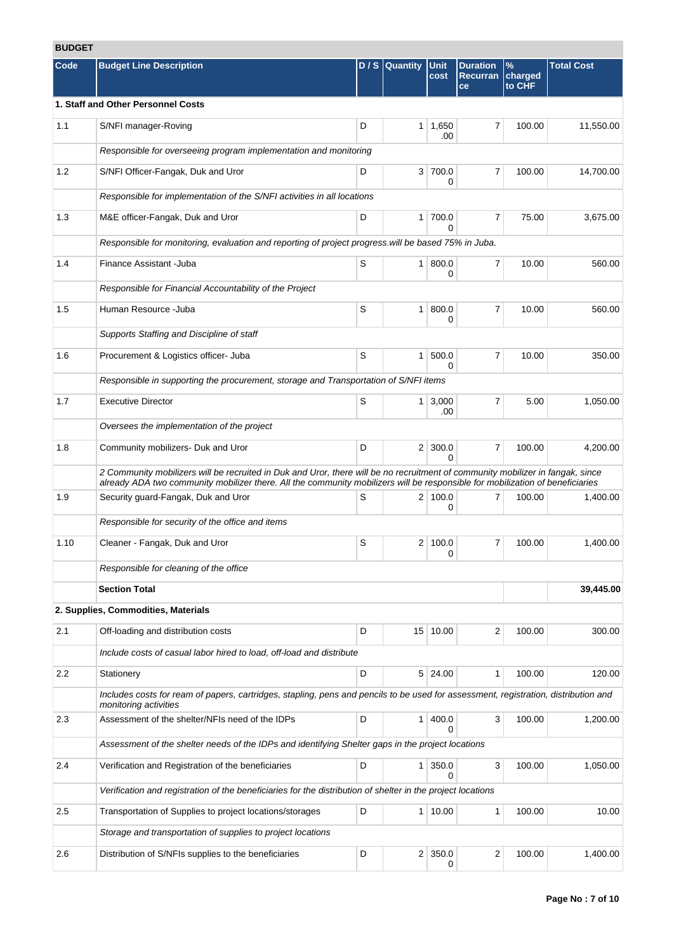# **BUDGET**

| Code | <b>Budget Line Description</b>                                                                                                                                                                                                                                  |   | D / S Quantity | Unit                  | <b>Duration</b>       | $\%$              | <b>Total Cost</b> |
|------|-----------------------------------------------------------------------------------------------------------------------------------------------------------------------------------------------------------------------------------------------------------------|---|----------------|-----------------------|-----------------------|-------------------|-------------------|
|      |                                                                                                                                                                                                                                                                 |   |                | cost                  | <b>Recurran</b><br>ce | charged<br>to CHF |                   |
|      | 1. Staff and Other Personnel Costs                                                                                                                                                                                                                              |   |                |                       |                       |                   |                   |
| 1.1  | S/NFI manager-Roving                                                                                                                                                                                                                                            | D |                | $1 \mid 1,650$<br>.00 | 7                     | 100.00            | 11,550.00         |
|      | Responsible for overseeing program implementation and monitoring                                                                                                                                                                                                |   |                |                       |                       |                   |                   |
| 1.2  | S/NFI Officer-Fangak, Duk and Uror                                                                                                                                                                                                                              | D |                | 3 700.0<br>0          | $\overline{7}$        | 100.00            | 14,700.00         |
|      | Responsible for implementation of the S/NFI activities in all locations                                                                                                                                                                                         |   |                |                       |                       |                   |                   |
| 1.3  | M&E officer-Fangak, Duk and Uror                                                                                                                                                                                                                                | D |                | 1 700.0<br>0          | $\overline{7}$        | 75.00             | 3,675.00          |
|      | Responsible for monitoring, evaluation and reporting of project progress will be based 75% in Juba.                                                                                                                                                             |   |                |                       |                       |                   |                   |
| 1.4  | Finance Assistant - Juba                                                                                                                                                                                                                                        | S |                | 1   800.0<br>0        | $\overline{7}$        | 10.00             | 560.00            |
|      | Responsible for Financial Accountability of the Project                                                                                                                                                                                                         |   |                |                       |                       |                   |                   |
| 1.5  | Human Resource - Juba                                                                                                                                                                                                                                           | S | 1 <sup>1</sup> | 800.0<br>0            | $\overline{7}$        | 10.00             | 560.00            |
|      | Supports Staffing and Discipline of staff                                                                                                                                                                                                                       |   |                |                       |                       |                   |                   |
| 1.6  | Procurement & Logistics officer- Juba                                                                                                                                                                                                                           | S | 1 <sup>1</sup> | 500.0<br>0            | $\overline{7}$        | 10.00             | 350.00            |
|      | Responsible in supporting the procurement, storage and Transportation of S/NFI items                                                                                                                                                                            |   |                |                       |                       |                   |                   |
| 1.7  | <b>Executive Director</b>                                                                                                                                                                                                                                       | S |                | $1 \mid 3,000$<br>.00 | $\overline{7}$        | 5.00              | 1,050.00          |
|      | Oversees the implementation of the project                                                                                                                                                                                                                      |   |                |                       |                       |                   |                   |
| 1.8  | Community mobilizers- Duk and Uror                                                                                                                                                                                                                              | D |                | $2 \mid 300.0$<br>0   | $\overline{7}$        | 100.00            | 4,200.00          |
|      | 2 Community mobilizers will be recruited in Duk and Uror, there will be no recruitment of community mobilizer in fangak, since<br>already ADA two community mobilizer there. All the community mobilizers will be responsible for mobilization of beneficiaries |   |                |                       |                       |                   |                   |
| 1.9  | Security guard-Fangak, Duk and Uror                                                                                                                                                                                                                             | S |                | 2 100.0<br>0          | $\overline{7}$        | 100.00            | 1,400.00          |
|      | Responsible for security of the office and items                                                                                                                                                                                                                |   |                |                       |                       |                   |                   |
| 1.10 | Cleaner - Fangak, Duk and Uror                                                                                                                                                                                                                                  | S | 2 <sup>1</sup> | 100.0<br>0            | 7                     | 100.00            | 1.400.00          |
|      | Responsible for cleaning of the office                                                                                                                                                                                                                          |   |                |                       |                       |                   |                   |
|      | <b>Section Total</b>                                                                                                                                                                                                                                            |   |                |                       |                       |                   | 39,445.00         |
|      | 2. Supplies, Commodities, Materials                                                                                                                                                                                                                             |   |                |                       |                       |                   |                   |
| 2.1  | Off-loading and distribution costs                                                                                                                                                                                                                              | D |                | 15 10.00              | 2                     | 100.00            | 300.00            |
|      | Include costs of casual labor hired to load, off-load and distribute                                                                                                                                                                                            |   |                |                       |                       |                   |                   |
| 2.2  | Stationery                                                                                                                                                                                                                                                      | D |                | 5 24.00               | $\mathbf{1}$          | 100.00            | 120.00            |
|      | Includes costs for ream of papers, cartridges, stapling, pens and pencils to be used for assessment, registration, distribution and<br>monitoring activities                                                                                                    |   |                |                       |                       |                   |                   |
| 2.3  | Assessment of the shelter/NFIs need of the IDPs                                                                                                                                                                                                                 | D | 1 <sup>1</sup> | 400.0<br>0            | 3                     | 100.00            | 1,200.00          |
|      | Assessment of the shelter needs of the IDPs and identifying Shelter gaps in the project locations                                                                                                                                                               |   |                |                       |                       |                   |                   |
| 2.4  | Verification and Registration of the beneficiaries                                                                                                                                                                                                              | D |                | 1 350.0<br>$\Omega$   | $\mathbf{3}$          | 100.00            | 1,050.00          |
|      | Verification and registration of the beneficiaries for the distribution of shelter in the project locations                                                                                                                                                     |   |                |                       |                       |                   |                   |
| 2.5  | Transportation of Supplies to project locations/storages                                                                                                                                                                                                        | D |                | 1 10.00               | 1                     | 100.00            | 10.00             |
|      | Storage and transportation of supplies to project locations                                                                                                                                                                                                     |   |                |                       |                       |                   |                   |
| 2.6  | Distribution of S/NFIs supplies to the beneficiaries                                                                                                                                                                                                            | D |                | 2 350.0<br>0          | 2                     | 100.00            | 1,400.00          |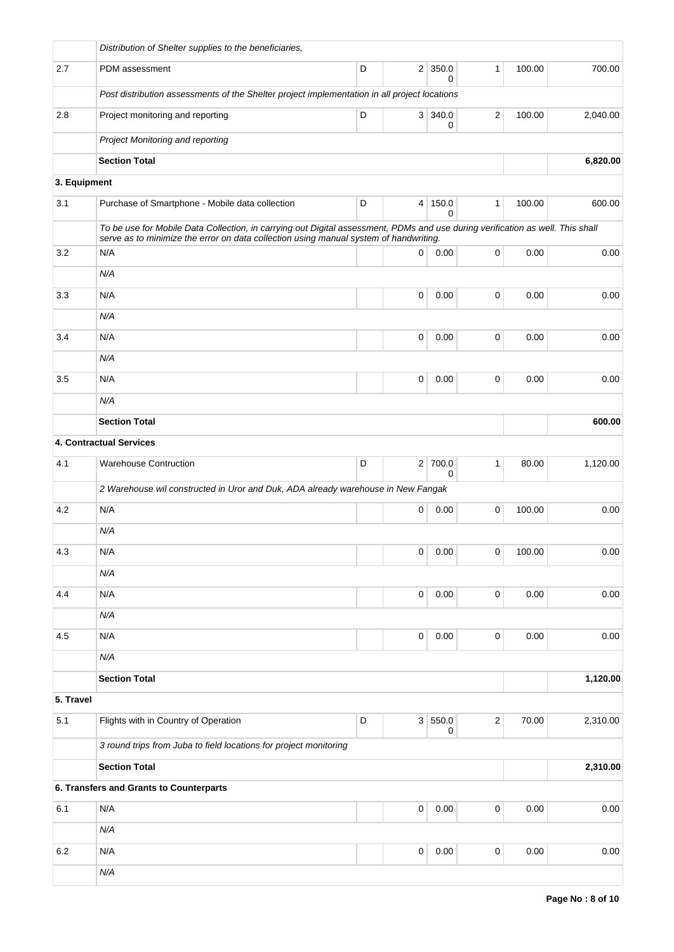|              | Distribution of Shelter supplies to the beneficiaries,                                                                                                                                                                  |   |             |                            |                |        |          |  |  |
|--------------|-------------------------------------------------------------------------------------------------------------------------------------------------------------------------------------------------------------------------|---|-------------|----------------------------|----------------|--------|----------|--|--|
| 2.7          | PDM assessment                                                                                                                                                                                                          | D |             | $2 \mid 350.0$<br>$\Omega$ | $\mathbf{1}$   | 100.00 | 700.00   |  |  |
|              | Post distribution assessments of the Shelter project implementation in all project locations                                                                                                                            |   |             |                            |                |        |          |  |  |
| 2.8          | Project monitoring and reporting                                                                                                                                                                                        | D |             | 3   340.0<br>0             | $\overline{2}$ | 100.00 | 2,040.00 |  |  |
|              | Project Monitoring and reporting                                                                                                                                                                                        |   |             |                            |                |        |          |  |  |
|              | <b>Section Total</b>                                                                                                                                                                                                    |   |             |                            |                |        | 6,820.00 |  |  |
| 3. Equipment |                                                                                                                                                                                                                         |   |             |                            |                |        |          |  |  |
| 3.1          | Purchase of Smartphone - Mobile data collection                                                                                                                                                                         | D | $\vert$     | 150.0<br>0                 | $\mathbf{1}$   | 100.00 | 600.00   |  |  |
|              | To be use for Mobile Data Collection, in carrying out Digital assessment, PDMs and use during verification as well. This shall<br>serve as to minimize the error on data collection using manual system of handwriting. |   |             |                            |                |        |          |  |  |
| 3.2          | N/A                                                                                                                                                                                                                     |   | 0           | 0.00                       | $\pmb{0}$      | 0.00   | 0.00     |  |  |
|              | N/A                                                                                                                                                                                                                     |   |             |                            |                |        |          |  |  |
| 3.3          | N/A                                                                                                                                                                                                                     |   | 0           | 0.00                       | $\mathbf 0$    | 0.00   | 0.00     |  |  |
|              | N/A                                                                                                                                                                                                                     |   |             |                            |                |        |          |  |  |
| 3.4          | N/A                                                                                                                                                                                                                     |   | $\mathbf 0$ | 0.00                       | $\mathbf 0$    | 0.00   | 0.00     |  |  |
|              | N/A                                                                                                                                                                                                                     |   |             |                            |                |        |          |  |  |
| 3.5          | N/A                                                                                                                                                                                                                     |   | $\mathbf 0$ | 0.00                       | $\mathbf 0$    | 0.00   | 0.00     |  |  |
|              | N/A                                                                                                                                                                                                                     |   |             |                            |                |        |          |  |  |
|              | <b>Section Total</b>                                                                                                                                                                                                    |   |             |                            |                |        | 600.00   |  |  |
|              | 4. Contractual Services                                                                                                                                                                                                 |   |             |                            |                |        |          |  |  |
| 4.1          | <b>Warehouse Contruction</b>                                                                                                                                                                                            | D |             | 2 700.0<br>0               | $\mathbf{1}$   | 80.00  | 1,120.00 |  |  |
|              | 2 Warehouse wil constructed in Uror and Duk, ADA already warehouse in New Fangak                                                                                                                                        |   |             |                            |                |        |          |  |  |
| 4.2          | N/A                                                                                                                                                                                                                     |   | 0           | 0.00                       | $\mathbf 0$    | 100.00 | 0.00     |  |  |
|              | N/A                                                                                                                                                                                                                     |   |             |                            |                |        |          |  |  |
| 4.3          | N/A                                                                                                                                                                                                                     |   | 0           | 0.00                       | $\pmb{0}$      | 100.00 | 0.00     |  |  |
|              | N/A                                                                                                                                                                                                                     |   |             |                            |                |        |          |  |  |
| 4.4          | N/A                                                                                                                                                                                                                     |   | $\pmb{0}$   | 0.00                       | $\pmb{0}$      | 0.00   | 0.00     |  |  |
|              | N/A                                                                                                                                                                                                                     |   |             |                            |                |        |          |  |  |
| 4.5          | N/A                                                                                                                                                                                                                     |   | $\mathbf 0$ | 0.00                       | $\pmb{0}$      | 0.00   | 0.00     |  |  |
|              | N/A                                                                                                                                                                                                                     |   |             |                            |                |        |          |  |  |
|              | <b>Section Total</b>                                                                                                                                                                                                    |   | 1,120.00    |                            |                |        |          |  |  |
| 5. Travel    |                                                                                                                                                                                                                         |   |             |                            |                |        |          |  |  |
| 5.1          | Flights with in Country of Operation                                                                                                                                                                                    | D |             | 3 550.0<br>0               | $\mathbf 2$    | 70.00  | 2,310.00 |  |  |
|              | 3 round trips from Juba to field locations for project monitoring                                                                                                                                                       |   |             |                            |                |        |          |  |  |
|              | <b>Section Total</b>                                                                                                                                                                                                    |   |             |                            |                |        | 2,310.00 |  |  |
|              | 6. Transfers and Grants to Counterparts                                                                                                                                                                                 |   |             |                            |                |        |          |  |  |
| 6.1          | N/A                                                                                                                                                                                                                     |   | $\mathsf 0$ | 0.00                       | $\mathsf 0$    | 0.00   | 0.00     |  |  |
|              | N/A                                                                                                                                                                                                                     |   |             |                            |                |        |          |  |  |
| 6.2          | N/A                                                                                                                                                                                                                     |   | $\mathsf 0$ | 0.00                       | $\mathsf 0$    | 0.00   | 0.00     |  |  |
|              | N/A                                                                                                                                                                                                                     |   |             |                            |                |        |          |  |  |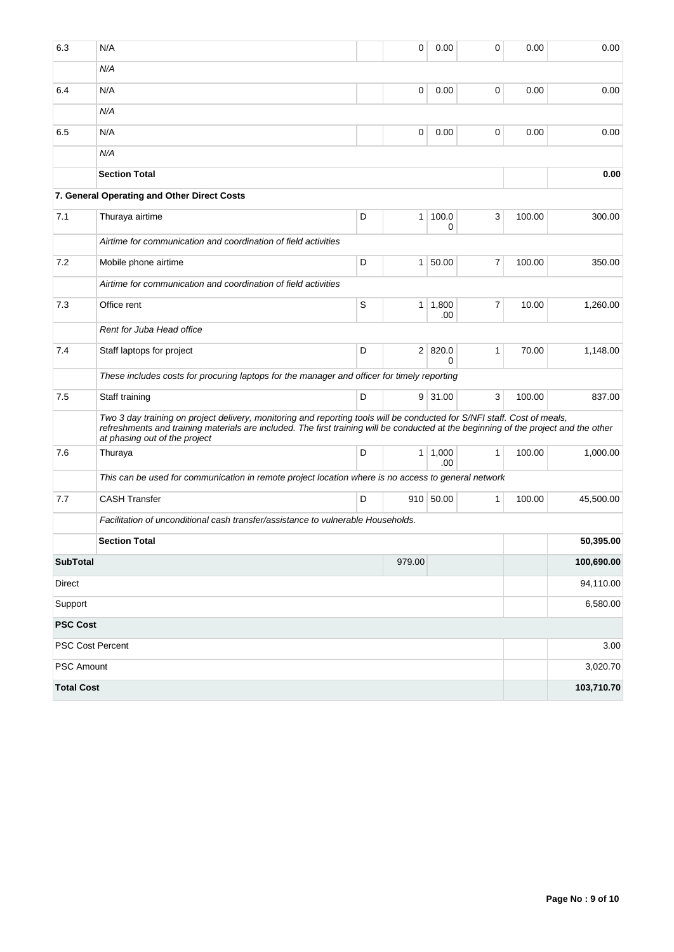| 6.3               | N/A                                                                                                                                                                                                                                                                                               |   | 0              | 0.00                  | 0            | 0.00   | 0.00       |  |  |  |
|-------------------|---------------------------------------------------------------------------------------------------------------------------------------------------------------------------------------------------------------------------------------------------------------------------------------------------|---|----------------|-----------------------|--------------|--------|------------|--|--|--|
|                   | N/A                                                                                                                                                                                                                                                                                               |   |                |                       |              |        |            |  |  |  |
| 6.4               | N/A                                                                                                                                                                                                                                                                                               |   | 0              | 0.00                  | 0            | 0.00   | 0.00       |  |  |  |
|                   | N/A                                                                                                                                                                                                                                                                                               |   |                |                       |              |        |            |  |  |  |
| 6.5               | N/A                                                                                                                                                                                                                                                                                               |   | 0              | 0.00                  | 0            | 0.00   | 0.00       |  |  |  |
|                   | N/A                                                                                                                                                                                                                                                                                               |   |                |                       |              |        |            |  |  |  |
|                   | <b>Section Total</b>                                                                                                                                                                                                                                                                              |   |                |                       |              |        | 0.00       |  |  |  |
|                   | 7. General Operating and Other Direct Costs                                                                                                                                                                                                                                                       |   |                |                       |              |        |            |  |  |  |
| 7.1               | Thuraya airtime                                                                                                                                                                                                                                                                                   | D | 1 <sup>1</sup> | 100.0<br>0            | 3            | 100.00 | 300.00     |  |  |  |
|                   | Airtime for communication and coordination of field activities                                                                                                                                                                                                                                    |   |                |                       |              |        |            |  |  |  |
| 7.2               | Mobile phone airtime                                                                                                                                                                                                                                                                              | D |                | 1 50.00               | 7            | 100.00 | 350.00     |  |  |  |
|                   | Airtime for communication and coordination of field activities                                                                                                                                                                                                                                    |   |                |                       |              |        |            |  |  |  |
| 7.3               | Office rent                                                                                                                                                                                                                                                                                       | S |                | $1 \mid 1,800$<br>.00 | 7            | 10.00  | 1,260.00   |  |  |  |
|                   | Rent for Juba Head office                                                                                                                                                                                                                                                                         |   |                |                       |              |        |            |  |  |  |
| 7.4               | Staff laptops for project                                                                                                                                                                                                                                                                         | D |                | 2   820.0<br>$\Omega$ | $\mathbf{1}$ | 70.00  | 1,148.00   |  |  |  |
|                   | These includes costs for procuring laptops for the manager and officer for timely reporting                                                                                                                                                                                                       |   |                |                       |              |        |            |  |  |  |
| 7.5               | Staff training                                                                                                                                                                                                                                                                                    | D |                | $9 \mid 31.00$        | 3            | 100.00 | 837.00     |  |  |  |
|                   | Two 3 day training on project delivery, monitoring and reporting tools will be conducted for S/NFI staff. Cost of meals,<br>refreshments and training materials are included. The first training will be conducted at the beginning of the project and the other<br>at phasing out of the project |   |                |                       |              |        |            |  |  |  |
| 7.6               | Thuraya                                                                                                                                                                                                                                                                                           | D |                | $1 \mid 1,000$<br>.00 | 1            | 100.00 | 1,000.00   |  |  |  |
|                   | This can be used for communication in remote project location where is no access to general network                                                                                                                                                                                               |   |                |                       |              |        |            |  |  |  |
| 7.7               | <b>CASH Transfer</b>                                                                                                                                                                                                                                                                              | D |                | 910 50.00             | 1            | 100.00 | 45,500.00  |  |  |  |
|                   | Facilitation of unconditional cash transfer/assistance to vulnerable Households.                                                                                                                                                                                                                  |   |                |                       |              |        |            |  |  |  |
|                   | <b>Section Total</b>                                                                                                                                                                                                                                                                              |   |                |                       |              |        | 50.395.00  |  |  |  |
| <b>SubTotal</b>   |                                                                                                                                                                                                                                                                                                   |   | 979.00         |                       |              |        | 100,690.00 |  |  |  |
| Direct            |                                                                                                                                                                                                                                                                                                   |   |                |                       |              |        | 94,110.00  |  |  |  |
| Support           |                                                                                                                                                                                                                                                                                                   |   |                |                       |              |        | 6,580.00   |  |  |  |
| <b>PSC Cost</b>   |                                                                                                                                                                                                                                                                                                   |   |                |                       |              |        |            |  |  |  |
|                   | PSC Cost Percent                                                                                                                                                                                                                                                                                  |   |                |                       |              |        | 3.00       |  |  |  |
| PSC Amount        |                                                                                                                                                                                                                                                                                                   |   |                |                       |              |        | 3,020.70   |  |  |  |
| <b>Total Cost</b> |                                                                                                                                                                                                                                                                                                   |   |                |                       |              |        | 103,710.70 |  |  |  |